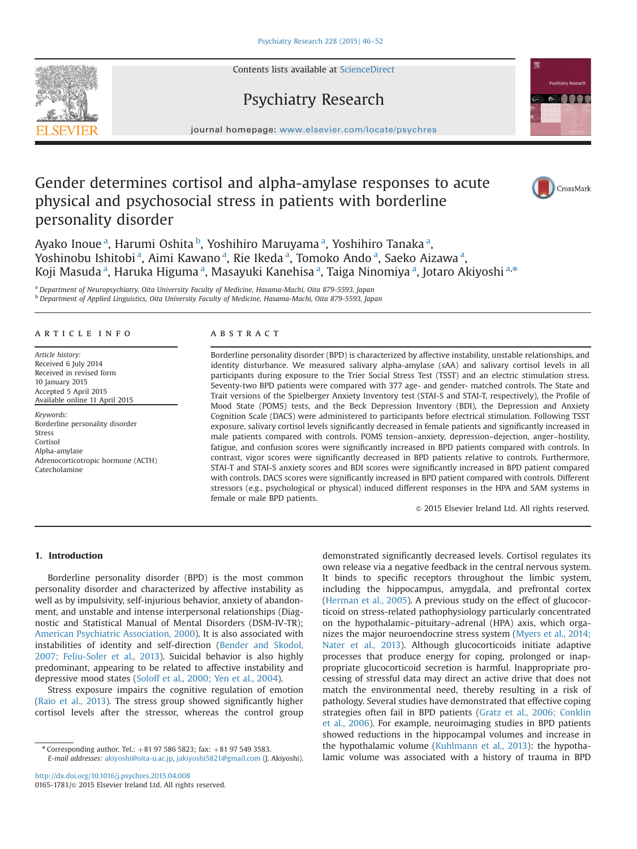Contents lists available at [ScienceDirect](www.sciencedirect.com/science/journal/01651781)

# Psychiatry Research

journal homepage: <www.elsevier.com/locate/psychres>e/psychrese/psychrese/psychrese/psychrese/psychrese/psychrese/psychrese/psychrese/psychrese/psychrese/psychrese/psychrese/psychrese/psychrese/psychrese/psychrese/psychrese

# Gender determines cortisol and alpha-amylase responses to acute physical and psychosocial stress in patients with borderline personality disorder

Ayako Inoue<sup>a</sup>, Harumi Oshita <sup>b</sup>, Yoshihiro Maruyama <sup>a</sup>, Yoshihiro Tanaka <sup>a</sup>, Yoshinobu Ishitobi <sup>a</sup>, Aimi Kawano <sup>a</sup>, Rie Ikeda <sup>a</sup>, Tomoko Ando <sup>a</sup>, Saeko Aizawa <sup>a</sup>, Koji Masuda <sup>a</sup>, Haruka Higuma <sup>a</sup>, Masayuki Kanehisa <sup>a</sup>, Taiga Ninomiya <sup>a</sup>, Jotaro Akiyoshi <sup>a,</sup>\*

a Department of Neuropsychiatry, Oita University Faculty of Medicine, Hasama-Machi, Oita 879-5593, Japan <sup>b</sup> Department of Applied Linguistics, Oita University Faculty of Medicine, Hasama-Machi, Oita 879-5593, Japan

## article info

Article history: Received 6 July 2014 Received in revised form 10 January 2015 Accepted 5 April 2015 Available online 11 April 2015

Keywords: Borderline personality disorder Stress Cortisol Alpha-amylase Adrenocorticotropic hormone (ACTH) Catecholamine

## **ABSTRACT**

Borderline personality disorder (BPD) is characterized by affective instability, unstable relationships, and identity disturbance. We measured salivary alpha-amylase (sAA) and salivary cortisol levels in all participants during exposure to the Trier Social Stress Test (TSST) and an electric stimulation stress. Seventy-two BPD patients were compared with 377 age- and gender- matched controls. The State and Trait versions of the Spielberger Anxiety Inventory test (STAI-S and STAI-T, respectively), the Profile of Mood State (POMS) tests, and the Beck Depression Inventory (BDI), the Depression and Anxiety Cognition Scale (DACS) were administered to participants before electrical stimulation. Following TSST exposure, salivary cortisol levels significantly decreased in female patients and significantly increased in male patients compared with controls. POMS tension–anxiety, depression–dejection, anger–hostility, fatigue, and confusion scores were significantly increased in BPD patients compared with controls. In contrast, vigor scores were significantly decreased in BPD patients relative to controls. Furthermore, STAI-T and STAI-S anxiety scores and BDI scores were significantly increased in BPD patient compared with controls. DACS scores were significantly increased in BPD patient compared with controls. Different stressors (e.g., psychological or physical) induced different responses in the HPA and SAM systems in female or male BPD patients.

 $\odot$  2015 Elsevier Ireland Ltd. All rights reserved.

# 1. Introduction

Borderline personality disorder (BPD) is the most common personality disorder and characterized by affective instability as well as by impulsivity, self-injurious behavior, anxiety of abandonment, and unstable and intense interpersonal relationships (Diagnostic and Statistical Manual of Mental Disorders (DSM-IV-TR); [American Psychiatric Association, 2000](#page--1-0)). It is also associated with instabilities of identity and self-direction [\(Bender and Skodol,](#page--1-0) [2007; Feliu-Soler et al., 2013](#page--1-0)). Suicidal behavior is also highly predominant, appearing to be related to affective instability and depressive mood states ([Soloff et al., 2000; Yen et al., 2004\)](#page--1-0).

Stress exposure impairs the cognitive regulation of emotion ([Raio et al., 2013](#page--1-0)). The stress group showed significantly higher cortisol levels after the stressor, whereas the control group

\* Corresponding author. Tel.:  $+81$  97 586 5823; fax:  $+81$  97 549 3583. E-mail addresses: [akiyoshi@oita-u.ac.jp,](mailto:akiyoshi@oita-u.ac.jp) [jakiyoshi5821@gmail.com](mailto:jakiyoshi5821@gmail.com) (J. Akiyoshi).

<http://dx.doi.org/10.1016/j.psychres.2015.04.008> 0165-1781/© 2015 Elsevier Ireland Ltd. All rights reserved. demonstrated significantly decreased levels. Cortisol regulates its own release via a negative feedback in the central nervous system. It binds to specific receptors throughout the limbic system, including the hippocampus, amygdala, and prefrontal cortex ([Herman et al., 2005\)](#page--1-0). A previous study on the effect of glucocorticoid on stress-related pathophysiology particularly concentrated on the hypothalamic–pituitary–adrenal (HPA) axis, which organizes the major neuroendocrine stress system ([Myers et al., 2014;](#page--1-0) [Nater et al., 2013\)](#page--1-0). Although glucocorticoids initiate adaptive processes that produce energy for coping, prolonged or inappropriate glucocorticoid secretion is harmful. Inappropriate processing of stressful data may direct an active drive that does not match the environmental need, thereby resulting in a risk of pathology. Several studies have demonstrated that effective coping strategies often fail in BPD patients [\(Gratz et al., 2006; Conklin](#page--1-0) [et al., 2006](#page--1-0)). For example, neuroimaging studies in BPD patients showed reductions in the hippocampal volumes and increase in the hypothalamic volume [\(Kuhlmann et al., 2013](#page--1-0)): the hypothalamic volume was associated with a history of trauma in BPD





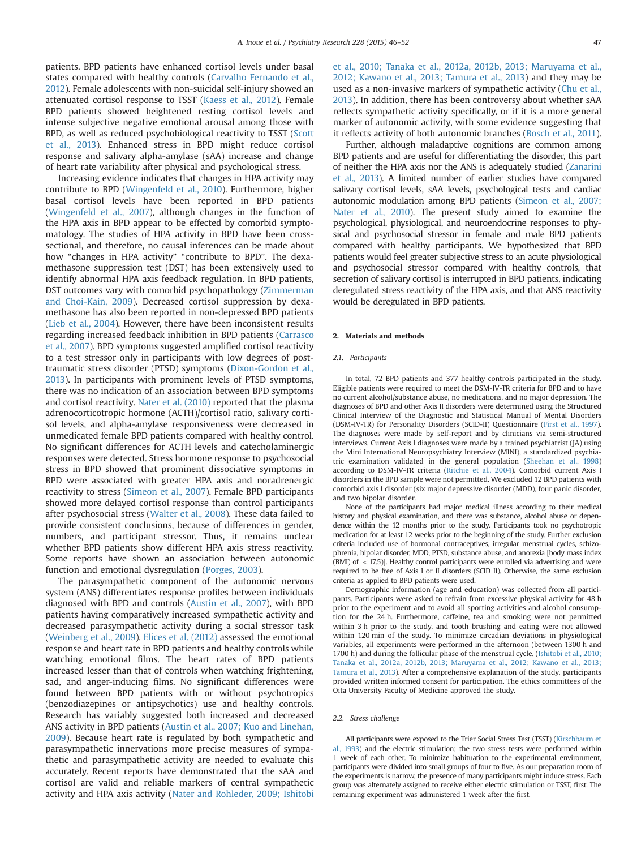patients. BPD patients have enhanced cortisol levels under basal states compared with healthy controls [\(Carvalho Fernando et al.,](#page--1-0) [2012\)](#page--1-0). Female adolescents with non-suicidal self-injury showed an attenuated cortisol response to TSST [\(Kaess et al., 2012](#page--1-0)). Female BPD patients showed heightened resting cortisol levels and intense subjective negative emotional arousal among those with BPD, as well as reduced psychobiological reactivity to TSST ([Scott](#page--1-0) [et al., 2013](#page--1-0)). Enhanced stress in BPD might reduce cortisol response and salivary alpha-amylase (sAA) increase and change of heart rate variability after physical and psychological stress.

Increasing evidence indicates that changes in HPA activity may contribute to BPD ([Wingenfeld et al., 2010\)](#page--1-0). Furthermore, higher basal cortisol levels have been reported in BPD patients ([Wingenfeld et al., 2007\)](#page--1-0), although changes in the function of the HPA axis in BPD appear to be effected by comorbid symptomatology. The studies of HPA activity in BPD have been crosssectional, and therefore, no causal inferences can be made about how "changes in HPA activity" "contribute to BPD". The dexamethasone suppression test (DST) has been extensively used to identify abnormal HPA axis feedback regulation. In BPD patients, DST outcomes vary with comorbid psychopathology ([Zimmerman](#page--1-0) [and Choi-Kain, 2009](#page--1-0)). Decreased cortisol suppression by dexamethasone has also been reported in non-depressed BPD patients ([Lieb et al., 2004](#page--1-0)). However, there have been inconsistent results regarding increased feedback inhibition in BPD patients [\(Carrasco](#page--1-0) [et al., 2007\)](#page--1-0). BPD symptoms suggested amplified cortisol reactivity to a test stressor only in participants with low degrees of posttraumatic stress disorder (PTSD) symptoms ([Dixon-Gordon et al.,](#page--1-0) [2013\)](#page--1-0). In participants with prominent levels of PTSD symptoms, there was no indication of an association between BPD symptoms and cortisol reactivity. [Nater et al. \(2010\)](#page--1-0) reported that the plasma adrenocorticotropic hormone (ACTH)/cortisol ratio, salivary cortisol levels, and alpha-amylase responsiveness were decreased in unmedicated female BPD patients compared with healthy control. No significant differences for ACTH levels and catecholaminergic responses were detected. Stress hormone response to psychosocial stress in BPD showed that prominent dissociative symptoms in BPD were associated with greater HPA axis and noradrenergic reactivity to stress ([Simeon et al., 2007\)](#page--1-0). Female BPD participants showed more delayed cortisol response than control participants after psychosocial stress [\(Walter et al., 2008](#page--1-0)). These data failed to provide consistent conclusions, because of differences in gender, numbers, and participant stressor. Thus, it remains unclear whether BPD patients show different HPA axis stress reactivity. Some reports have shown an association between autonomic function and emotional dysregulation [\(Porges, 2003](#page--1-0)).

The parasympathetic component of the autonomic nervous system (ANS) differentiates response profiles between individuals diagnosed with BPD and controls [\(Austin et al., 2007](#page--1-0)), with BPD patients having comparatively increased sympathetic activity and decreased parasympathetic activity during a social stressor task ([Weinberg et al., 2009\)](#page--1-0). [Elices et al. \(2012\)](#page--1-0) assessed the emotional response and heart rate in BPD patients and healthy controls while watching emotional films. The heart rates of BPD patients increased lesser than that of controls when watching frightening, sad, and anger-inducing films. No significant differences were found between BPD patients with or without psychotropics (benzodiazepines or antipsychotics) use and healthy controls. Research has variably suggested both increased and decreased ANS activity in BPD patients [\(Austin et al., 2007; Kuo and Linehan,](#page--1-0) [2009\)](#page--1-0). Because heart rate is regulated by both sympathetic and parasympathetic innervations more precise measures of sympathetic and parasympathetic activity are needed to evaluate this accurately. Recent reports have demonstrated that the sAA and cortisol are valid and reliable markers of central sympathetic activity and HPA axis activity ([Nater and Rohleder, 2009; Ishitobi](#page--1-0) [et al., 2010; Tanaka et al., 2012a, 2012b, 2013; Maruyama et al.,](#page--1-0) [2012; Kawano et al., 2013; Tamura et al., 2013\)](#page--1-0) and they may be used as a non-invasive markers of sympathetic activity [\(Chu et al.,](#page--1-0) [2013\)](#page--1-0). In addition, there has been controversy about whether sAA reflects sympathetic activity specifically, or if it is a more general marker of autonomic activity, with some evidence suggesting that it reflects activity of both autonomic branches [\(Bosch et al., 2011\)](#page--1-0).

Further, although maladaptive cognitions are common among BPD patients and are useful for differentiating the disorder, this part of neither the HPA axis nor the ANS is adequately studied [\(Zanarini](#page--1-0) [et al., 2013](#page--1-0)). A limited number of earlier studies have compared salivary cortisol levels, sAA levels, psychological tests and cardiac autonomic modulation among BPD patients [\(Simeon et al., 2007;](#page--1-0) [Nater et al., 2010](#page--1-0)). The present study aimed to examine the psychological, physiological, and neuroendocrine responses to physical and psychosocial stressor in female and male BPD patients compared with healthy participants. We hypothesized that BPD patients would feel greater subjective stress to an acute physiological and psychosocial stressor compared with healthy controls, that secretion of salivary cortisol is interrupted in BPD patients, indicating deregulated stress reactivity of the HPA axis, and that ANS reactivity would be deregulated in BPD patients.

### 2. Materials and methods

### 2.1. Participants

In total, 72 BPD patients and 377 healthy controls participated in the study. Eligible patients were required to meet the DSM-IV-TR criteria for BPD and to have no current alcohol/substance abuse, no medications, and no major depression. The diagnoses of BPD and other Axis II disorders were determined using the Structured Clinical Interview of the Diagnostic and Statistical Manual of Mental Disorders (DSM-IV-TR) for Personality Disorders (SCID-II) Questionnaire ([First et al., 1997\)](#page--1-0). The diagnoses were made by self-report and by clinicians via semi-structured interviews. Current Axis I diagnoses were made by a trained psychiatrist (JA) using the Mini International Neuropsychiatry Interview (MINI), a standardized psychiatric examination validated in the general population [\(Sheehan et al., 1998](#page--1-0)) according to DSM-IV-TR criteria ([Ritchie et al., 2004](#page--1-0)). Comorbid current Axis I disorders in the BPD sample were not permitted. We excluded 12 BPD patients with comorbid axis I disorder (six major depressive disorder (MDD), four panic disorder, and two bipolar disorder.

None of the participants had major medical illness according to their medical history and physical examination, and there was substance, alcohol abuse or dependence within the 12 months prior to the study. Participants took no psychotropic medication for at least 12 weeks prior to the beginning of the study. Further exclusion criteria included use of hormonal contraceptives, irregular menstrual cycles, schizophrenia, bipolar disorder, MDD, PTSD, substance abuse, and anorexia [body mass index (BMI) of  $<$  17.5)]. Healthy control participants were enrolled via advertising and were required to be free of Axis I or II disorders (SCID II). Otherwise, the same exclusion criteria as applied to BPD patients were used.

Demographic information (age and education) was collected from all participants. Participants were asked to refrain from excessive physical activity for 48 h prior to the experiment and to avoid all sporting activities and alcohol consumption for the 24 h. Furthermore, caffeine, tea and smoking were not permitted within 3 h prior to the study, and tooth brushing and eating were not allowed within 120 min of the study. To minimize circadian deviations in physiological variables, all experiments were performed in the afternoon (between 1300 h and 1700 h) and during the follicular phase of the menstrual cycle. [\(Ishitobi et al., 2010;](#page--1-0) [Tanaka et al., 2012a, 2012b, 2013; Maruyama et al., 2012; Kawano et al., 2013;](#page--1-0) [Tamura et al., 2013\)](#page--1-0). After a comprehensive explanation of the study, participants provided written informed consent for participation. The ethics committees of the Oita University Faculty of Medicine approved the study.

#### 2.2. Stress challenge

All participants were exposed to the Trier Social Stress Test (TSST) [\(Kirschbaum et](#page--1-0) [al., 1993\)](#page--1-0) and the electric stimulation; the two stress tests were performed within 1 week of each other. To minimize habituation to the experimental environment, participants were divided into small groups of four to five. As our preparation room of the experiments is narrow, the presence of many participants might induce stress. Each group was alternately assigned to receive either electric stimulation or TSST, first. The remaining experiment was administered 1 week after the first.